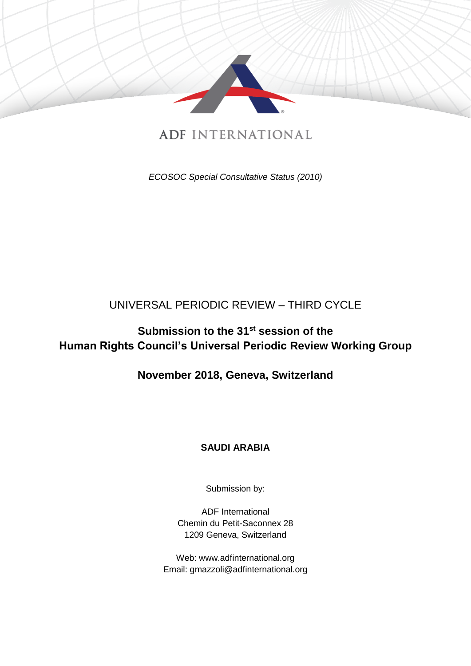

# **ADF INTERNATIONAL**

*ECOSOC Special Consultative Status (2010)*

## UNIVERSAL PERIODIC REVIEW – THIRD CYCLE

# **Submission to the 31 st session of the Human Rights Council's Universal Periodic Review Working Group**

## **November 2018, Geneva, Switzerland**

## **SAUDI ARABIA**

Submission by:

ADF International Chemin du Petit-Saconnex 28 1209 Geneva, Switzerland

Web: www.adfinternational.org Email: gmazzoli@adfinternational.org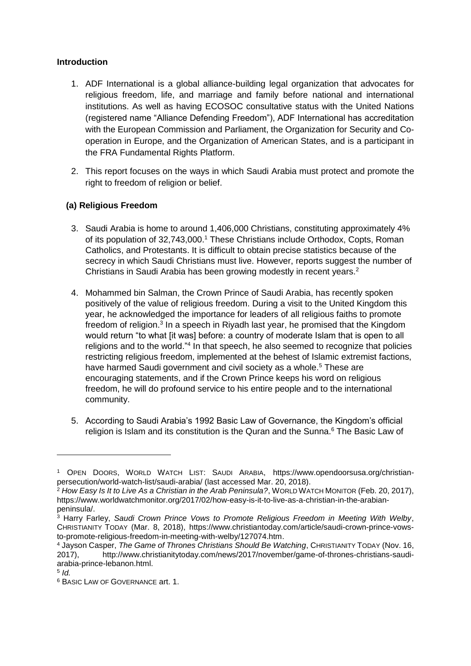#### **Introduction**

- 1. ADF International is a global alliance-building legal organization that advocates for religious freedom, life, and marriage and family before national and international institutions. As well as having ECOSOC consultative status with the United Nations (registered name "Alliance Defending Freedom"), ADF International has accreditation with the European Commission and Parliament, the Organization for Security and Cooperation in Europe, and the Organization of American States, and is a participant in the FRA Fundamental Rights Platform.
- 2. This report focuses on the ways in which Saudi Arabia must protect and promote the right to freedom of religion or belief.

### **(a) Religious Freedom**

- 3. Saudi Arabia is home to around 1,406,000 Christians, constituting approximately 4% of its population of 32,743,000.<sup>1</sup> These Christians include Orthodox, Copts, Roman Catholics, and Protestants. It is difficult to obtain precise statistics because of the secrecy in which Saudi Christians must live. However, reports suggest the number of Christians in Saudi Arabia has been growing modestly in recent years.<sup>2</sup>
- 4. Mohammed bin Salman, the Crown Prince of Saudi Arabia, has recently spoken positively of the value of religious freedom. During a visit to the United Kingdom this year, he acknowledged the importance for leaders of all religious faiths to promote freedom of religion.<sup>3</sup> In a speech in Riyadh last year, he promised that the Kingdom would return "to what [it was] before: a country of moderate Islam that is open to all religions and to the world."<sup>4</sup> In that speech, he also seemed to recognize that policies restricting religious freedom, implemented at the behest of Islamic extremist factions, have harmed Saudi government and civil society as a whole.<sup>5</sup> These are encouraging statements, and if the Crown Prince keeps his word on religious freedom, he will do profound service to his entire people and to the international community.
- 5. According to Saudi Arabia's 1992 Basic Law of Governance, the Kingdom's official religion is Islam and its constitution is the Quran and the Sunna.<sup>6</sup> The Basic Law of

<sup>1</sup> OPEN DOORS, WORLD WATCH LIST: SAUDI ARABIA, https://www.opendoorsusa.org/christianpersecution/world-watch-list/saudi-arabia/ (last accessed Mar. 20, 2018).

<sup>2</sup> *How Easy Is It to Live As a Christian in the Arab Peninsula?*, WORLD WATCH MONITOR (Feb. 20, 2017), https://www.worldwatchmonitor.org/2017/02/how-easy-is-it-to-live-as-a-christian-in-the-arabianpeninsula/.

<sup>3</sup> Harry Farley, *Saudi Crown Prince Vows to Promote Religious Freedom in Meeting With Welby*, CHRISTIANITY TODAY (Mar. 8, 2018), https://www.christiantoday.com/article/saudi-crown-prince-vowsto-promote-religious-freedom-in-meeting-with-welby/127074.htm.

<sup>4</sup> Jayson Casper, *The Game of Thrones Christians Should Be Watching*, CHRISTIANITY TODAY (Nov. 16, 2017), http://www.christianitytoday.com/news/2017/november/game-of-thrones-christians-saudiarabia-prince-lebanon.html.

<sup>5</sup> *Id.*

<sup>6</sup> BASIC LAW OF GOVERNANCE art. 1.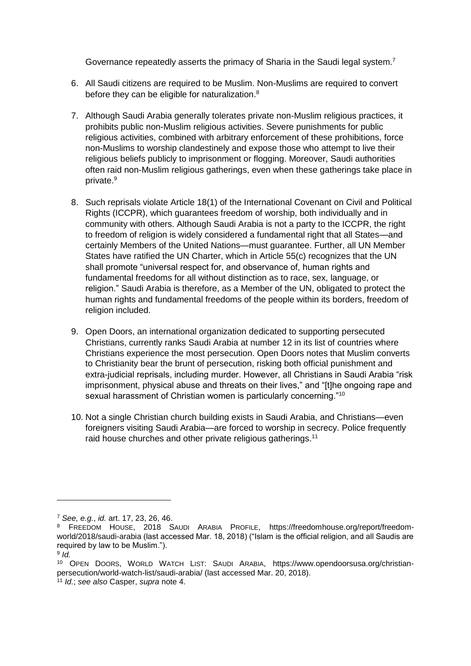Governance repeatedly asserts the primacy of Sharia in the Saudi legal system.<sup>7</sup>

- 6. All Saudi citizens are required to be Muslim. Non-Muslims are required to convert before they can be eligible for naturalization.<sup>8</sup>
- 7. Although Saudi Arabia generally tolerates private non-Muslim religious practices, it prohibits public non-Muslim religious activities. Severe punishments for public religious activities, combined with arbitrary enforcement of these prohibitions, force non-Muslims to worship clandestinely and expose those who attempt to live their religious beliefs publicly to imprisonment or flogging. Moreover, Saudi authorities often raid non-Muslim religious gatherings, even when these gatherings take place in private. 9
- 8. Such reprisals violate Article 18(1) of the International Covenant on Civil and Political Rights (ICCPR), which guarantees freedom of worship, both individually and in community with others. Although Saudi Arabia is not a party to the ICCPR, the right to freedom of religion is widely considered a fundamental right that all States—and certainly Members of the United Nations—must guarantee. Further, all UN Member States have ratified the UN Charter, which in Article 55(c) recognizes that the UN shall promote "universal respect for, and observance of, human rights and fundamental freedoms for all without distinction as to race, sex, language, or religion." Saudi Arabia is therefore, as a Member of the UN, obligated to protect the human rights and fundamental freedoms of the people within its borders, freedom of religion included.
- 9. Open Doors, an international organization dedicated to supporting persecuted Christians, currently ranks Saudi Arabia at number 12 in its list of countries where Christians experience the most persecution. Open Doors notes that Muslim converts to Christianity bear the brunt of persecution, risking both official punishment and extra-judicial reprisals, including murder. However, all Christians in Saudi Arabia "risk imprisonment, physical abuse and threats on their lives," and "[t]he ongoing rape and sexual harassment of Christian women is particularly concerning."<sup>10</sup>
- 10. Not a single Christian church building exists in Saudi Arabia, and Christians—even foreigners visiting Saudi Arabia—are forced to worship in secrecy. Police frequently raid house churches and other private religious gatherings.<sup>11</sup>

<sup>7</sup> *See, e.g.*, *id.* art. 17, 23, 26, 46.

<sup>8</sup> FREEDOM HOUSE, 2018 SAUDI ARABIA PROFILE, https://freedomhouse.org/report/freedomworld/2018/saudi-arabia (last accessed Mar. 18, 2018) ("Islam is the official religion, and all Saudis are required by law to be Muslim.").

<sup>9</sup> *Id.*

<sup>10</sup> OPEN DOORS, WORLD WATCH LIST: SAUDI ARABIA, https://www.opendoorsusa.org/christianpersecution/world-watch-list/saudi-arabia/ (last accessed Mar. 20, 2018).

<sup>11</sup> *Id.*; *see also* Casper, *supra* note 4.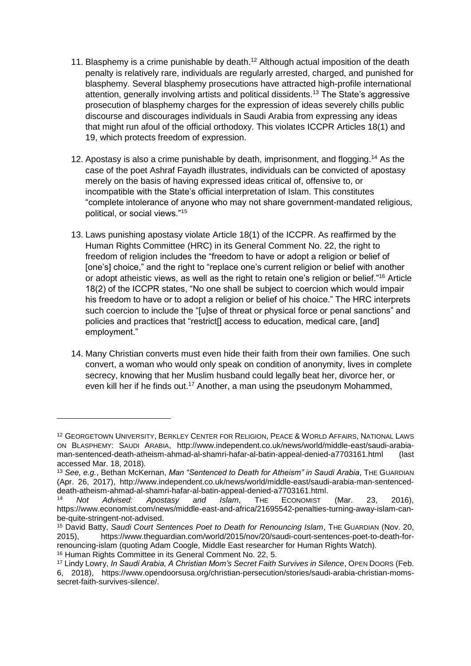- 11. Blasphemy is a crime punishable by death.<sup>12</sup> Although actual imposition of the death penalty is relatively rare, individuals are regularly arrested, charged, and punished for blasphemy. Several blasphemy prosecutions have attracted high-profile international attention, generally involving artists and political dissidents.<sup>13</sup> The State's aggressive prosecution of blasphemy charges for the expression of ideas severely chills public discourse and discourages individuals in Saudi Arabia from expressing any ideas that might run afoul of the official orthodoxy. This violates ICCPR Articles 18(1) and 19, which protects freedom of expression.
- 12. Apostasy is also a crime punishable by death, imprisonment, and flogging.<sup>14</sup> As the case of the poet Ashraf Fayadh illustrates, individuals can be convicted of apostasy merely on the basis of having expressed ideas critical of, offensive to, or incompatible with the State's official interpretation of Islam. This constitutes "complete intolerance of anyone who may not share government-mandated religious, political, or social views."<sup>15</sup>
- 13. Laws punishing apostasy violate Article 18(1) of the ICCPR. As reaffirmed by the Human Rights Committee (HRC) in its General Comment No. 22, the right to freedom of religion includes the "freedom to have or adopt a religion or belief of [one's] choice," and the right to "replace one's current religion or belief with another or adopt atheistic views, as well as the right to retain one's religion or belief."<sup>16</sup> Article 18(2) of the ICCPR states, "No one shall be subject to coercion which would impair his freedom to have or to adopt a religion or belief of his choice." The HRC interprets such coercion to include the "[u]se of threat or physical force or penal sanctions" and policies and practices that "restrict[] access to education, medical care, [and] employment."
- 14. Many Christian converts must even hide their faith from their own families. One such convert, a woman who would only speak on condition of anonymity, lives in complete secrecy, knowing that her Muslim husband could legally beat her, divorce her, or even kill her if he finds out.<sup>17</sup> Another, a man using the pseudonym Mohammed,

<sup>12</sup> GEORGETOWN UNIVERSITY, BERKLEY CENTER FOR RELIGION, PEACE & WORLD AFFAIRS, NATIONAL LAWS ON BLASPHEMY: SAUDI ARABIA, http://www.independent.co.uk/news/world/middle-east/saudi-arabiaman-sentenced-death-atheism-ahmad-al-shamri-hafar-al-batin-appeal-denied-a7703161.html (last accessed Mar. 18, 2018).

<sup>13</sup> *See, e.g.*, Bethan McKernan, *Man "Sentenced to Death for Atheism" in Saudi Arabia*, THE GUARDIAN (Apr. 26, 2017), http://www.independent.co.uk/news/world/middle-east/saudi-arabia-man-sentenceddeath-atheism-ahmad-al-shamri-hafar-al-batin-appeal-denied-a7703161.html.

<sup>14</sup> *Not Advised: Apostasy and Islam*, THE ECONOMIST (Mar. 23, 2016), https://www.economist.com/news/middle-east-and-africa/21695542-penalties-turning-away-islam-canbe-quite-stringent-not-advised.

<sup>15</sup> David Batty, *Saudi Court Sentences Poet to Death for Renouncing Islam*, THE GUARDIAN (Nov. 20, 2015), https://www.theguardian.com/world/2015/nov/20/saudi-court-sentences-poet-to-death-forrenouncing-islam (quoting Adam Coogle, Middle East researcher for Human Rights Watch).

<sup>16</sup> Human Rights Committee in its General Comment No. 22, 5.

<sup>17</sup> Lindy Lowry, *In Saudi Arabia, A Christian Mom's Secret Faith Survives in Silence*, OPEN DOORS (Feb. 6, 2018), https://www.opendoorsusa.org/christian-persecution/stories/saudi-arabia-christian-momssecret-faith-survives-silence/.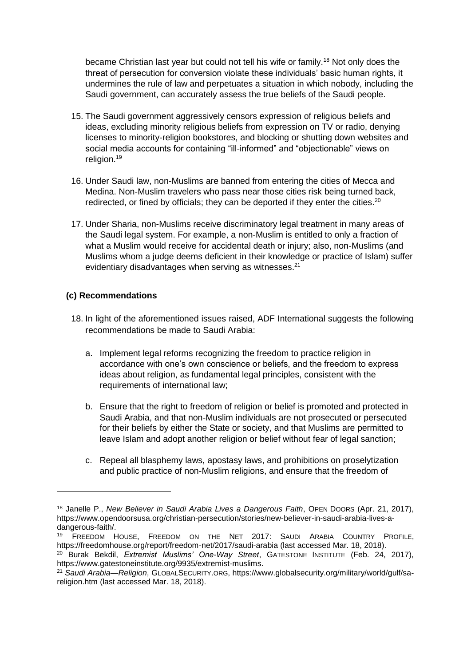became Christian last year but could not tell his wife or family.<sup>18</sup> Not only does the threat of persecution for conversion violate these individuals' basic human rights, it undermines the rule of law and perpetuates a situation in which nobody, including the Saudi government, can accurately assess the true beliefs of the Saudi people.

- 15. The Saudi government aggressively censors expression of religious beliefs and ideas, excluding minority religious beliefs from expression on TV or radio, denying licenses to minority-religion bookstores, and blocking or shutting down websites and social media accounts for containing "ill-informed" and "objectionable" views on religion.<sup>19</sup>
- 16. Under Saudi law, non-Muslims are banned from entering the cities of Mecca and Medina. Non-Muslim travelers who pass near those cities risk being turned back, redirected, or fined by officials; they can be deported if they enter the cities.<sup>20</sup>
- 17. Under Sharia, non-Muslims receive discriminatory legal treatment in many areas of the Saudi legal system. For example, a non-Muslim is entitled to only a fraction of what a Muslim would receive for accidental death or injury; also, non-Muslims (and Muslims whom a judge deems deficient in their knowledge or practice of Islam) suffer evidentiary disadvantages when serving as witnesses.<sup>21</sup>

#### **(c) Recommendations**

- 18. In light of the aforementioned issues raised, ADF International suggests the following recommendations be made to Saudi Arabia:
	- a. Implement legal reforms recognizing the freedom to practice religion in accordance with one's own conscience or beliefs, and the freedom to express ideas about religion, as fundamental legal principles, consistent with the requirements of international law;
	- b. Ensure that the right to freedom of religion or belief is promoted and protected in Saudi Arabia, and that non-Muslim individuals are not prosecuted or persecuted for their beliefs by either the State or society, and that Muslims are permitted to leave Islam and adopt another religion or belief without fear of legal sanction;
	- c. Repeal all blasphemy laws, apostasy laws, and prohibitions on proselytization and public practice of non-Muslim religions, and ensure that the freedom of

<sup>18</sup> Janelle P., *New Believer in Saudi Arabia Lives a Dangerous Faith*, OPEN DOORS (Apr. 21, 2017), https://www.opendoorsusa.org/christian-persecution/stories/new-believer-in-saudi-arabia-lives-adangerous-faith/.

<sup>19</sup> FREEDOM HOUSE, FREEDOM ON THE NET 2017: SAUDI ARABIA COUNTRY PROFILE, https://freedomhouse.org/report/freedom-net/2017/saudi-arabia (last accessed Mar. 18, 2018).

<sup>20</sup> Burak Bekdil, *Extremist Muslims' One-Way Street*, GATESTONE INSTITUTE (Feb. 24, 2017), https://www.gatestoneinstitute.org/9935/extremist-muslims.

<sup>21</sup> *Saudi Arabia—Religion*, GLOBALSECURITY.ORG, https://www.globalsecurity.org/military/world/gulf/sareligion.htm (last accessed Mar. 18, 2018).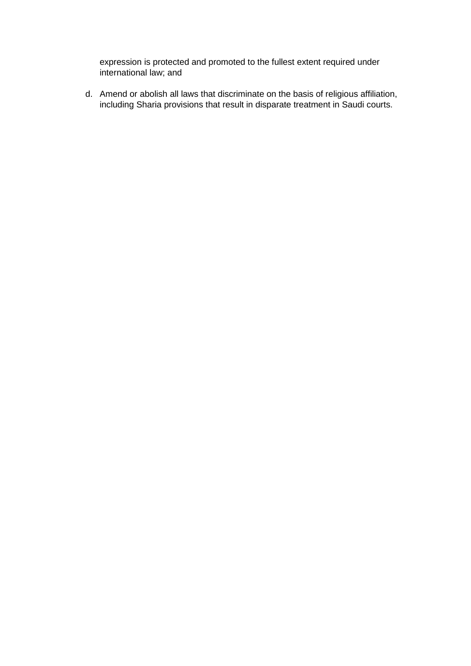expression is protected and promoted to the fullest extent required under international law; and

d. Amend or abolish all laws that discriminate on the basis of religious affiliation, including Sharia provisions that result in disparate treatment in Saudi courts.